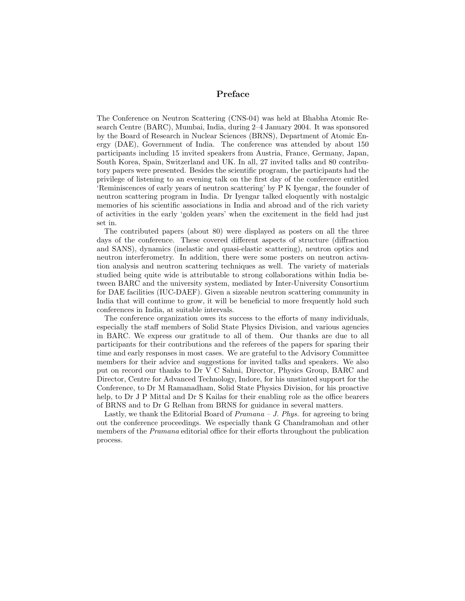## Preface

The Conference on Neutron Scattering (CNS-04) was held at Bhabha Atomic Research Centre (BARC), Mumbai, India, during 2–4 January 2004. It was sponsored by the Board of Research in Nuclear Sciences (BRNS), Department of Atomic Energy (DAE), Government of India. The conference was attended by about 150 participants including 15 invited speakers from Austria, France, Germany, Japan, South Korea, Spain, Switzerland and UK. In all, 27 invited talks and 80 contributory papers were presented. Besides the scientific program, the participants had the privilege of listening to an evening talk on the first day of the conference entitled 'Reminiscences of early years of neutron scattering' by P K Iyengar, the founder of neutron scattering program in India. Dr Iyengar talked eloquently with nostalgic memories of his scientific associations in India and abroad and of the rich variety of activities in the early 'golden years' when the excitement in the field had just set in.

The contributed papers (about 80) were displayed as posters on all the three days of the conference. These covered different aspects of structure (diffraction and SANS), dynamics (inelastic and quasi-elastic scattering), neutron optics and neutron interferometry. In addition, there were some posters on neutron activation analysis and neutron scattering techniques as well. The variety of materials studied being quite wide is attributable to strong collaborations within India between BARC and the university system, mediated by Inter-University Consortium for DAE facilities (IUC-DAEF). Given a sizeable neutron scattering community in India that will continue to grow, it will be beneficial to more frequently hold such conferences in India, at suitable intervals.

The conference organization owes its success to the efforts of many individuals, especially the staff members of Solid State Physics Division, and various agencies in BARC. We express our gratitude to all of them. Our thanks are due to all participants for their contributions and the referees of the papers for sparing their time and early responses in most cases. We are grateful to the Advisory Committee members for their advice and suggestions for invited talks and speakers. We also put on record our thanks to Dr V C Sahni, Director, Physics Group, BARC and Director, Centre for Advanced Technology, Indore, for his unstinted support for the Conference, to Dr M Ramanadham, Solid State Physics Division, for his proactive help, to Dr J P Mittal and Dr S Kailas for their enabling role as the office bearers of BRNS and to Dr G Relhan from BRNS for guidance in several matters.

Lastly, we thank the Editorial Board of  $Pramana - J$ . Phys. for agreeing to bring out the conference proceedings. We especially thank G Chandramohan and other members of the Pramana editorial office for their efforts throughout the publication process.